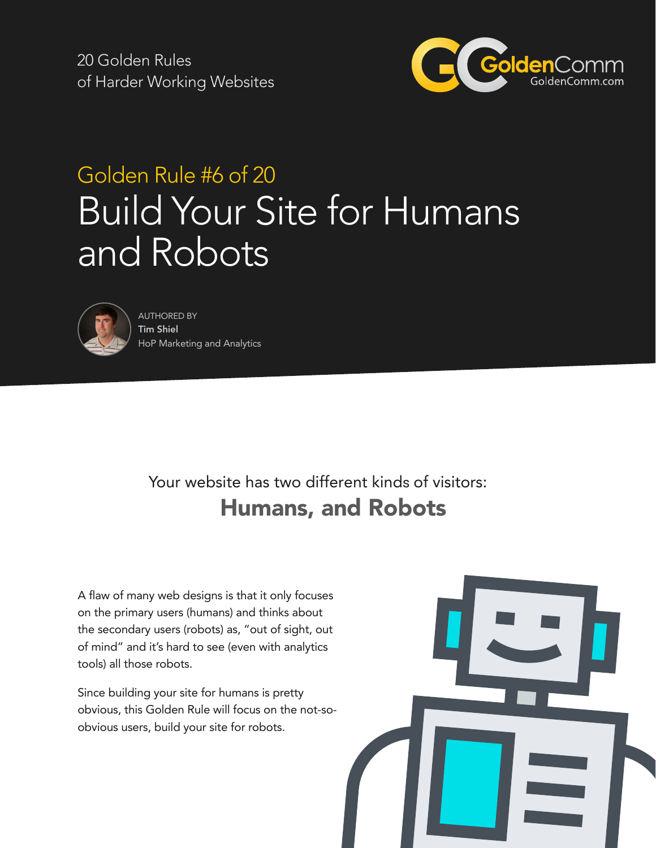20 Golden Rules of Harder Working Websites



# Golden Rule #6 of 20 Build Your Site for Humans and Robots



AUTHORED BY Tim Shiel HoP Marketing and Analytics

## Your website has two different kinds of visitors: Humans, and Robots

A flaw of many web designs is that it only focuses on the primary users (humans) and thinks about the secondary users (robots) as, "out of sight, out of mind" and it's hard to see (even with analytics tools) all those robots.

Since building your site for humans is pretty obvious, this Golden Rule will focus on the not-soobvious users, build your site for robots.

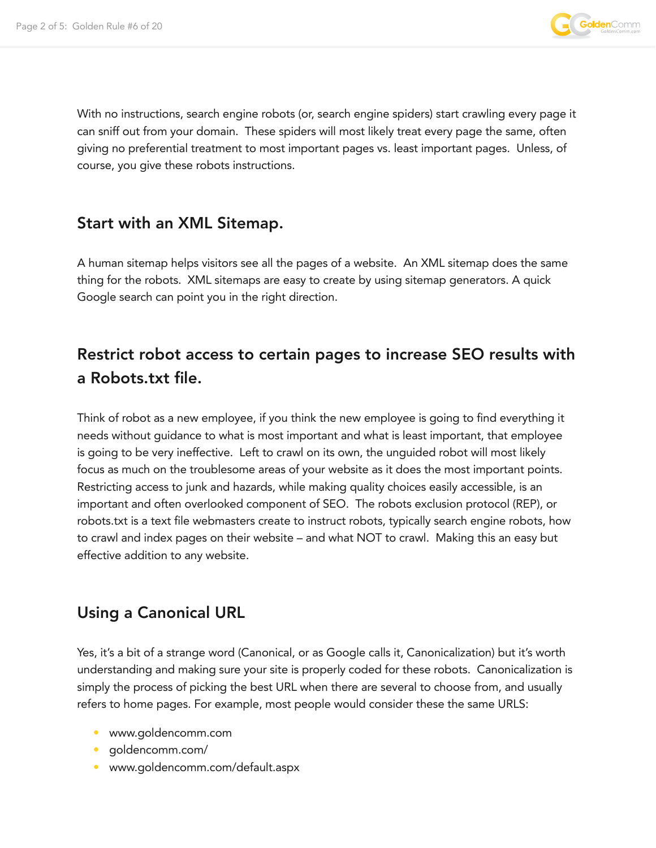

With no instructions, search engine robots (or, search engine spiders) start crawling every page it can sniff out from your domain. These spiders will most likely treat every page the same, often giving no preferential treatment to most important pages vs. least important pages. Unless, of course, you give these robots instructions.

#### Start with an XML Sitemap.

A human sitemap helps visitors see all the pages of a website. An XML sitemap does the same thing for the robots. XML sitemaps are easy to create by using sitemap generators. A quick Google search can point you in the right direction.

### Restrict robot access to certain pages to increase SEO results with a Robots.txt file.

Think of robot as a new employee, if you think the new employee is going to find everything it needs without guidance to what is most important and what is least important, that employee is going to be very ineffective. Left to crawl on its own, the unguided robot will most likely focus as much on the troublesome areas of your website as it does the most important points. Restricting access to junk and hazards, while making quality choices easily accessible, is an important and often overlooked component of SEO. The robots exclusion protocol (REP), or robots.txt is a text file webmasters create to instruct robots, typically search engine robots, how to crawl and index pages on their website – and what NOT to crawl. Making this an easy but effective addition to any website.

#### Using a Canonical URL

Yes, it's a bit of a strange word (Canonical, or as Google calls it, Canonicalization) but it's worth understanding and making sure your site is properly coded for these robots. Canonicalization is simply the process of picking the best URL when there are several to choose from, and usually refers to home pages. For example, most people would consider these the same URLS:

- www.goldencomm.com
- goldencomm.com/
- www.goldencomm.com/default.aspx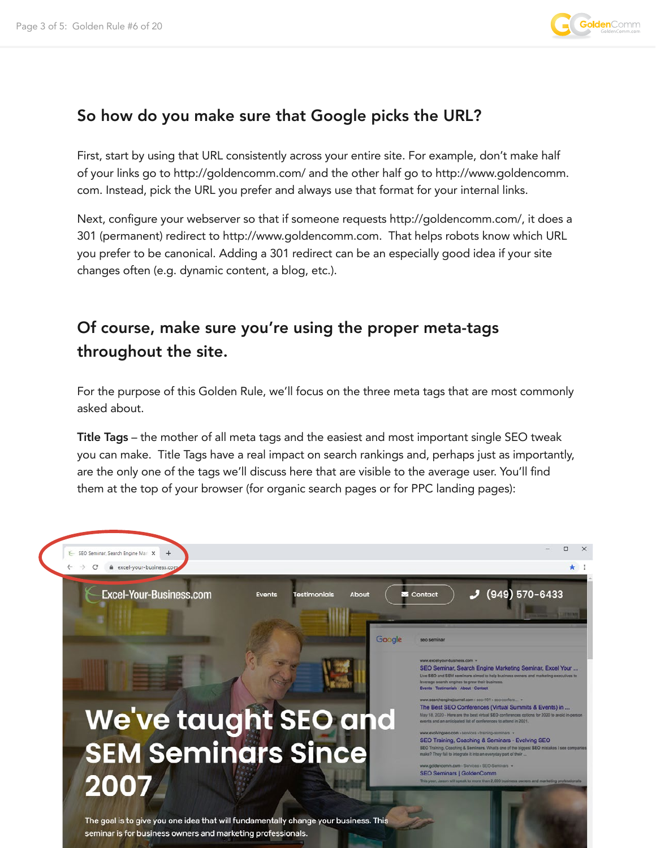

#### So how do you make sure that Google picks the URL?

First, start by using that URL consistently across your entire site. For example, don't make half of your links go to http://goldencomm.com/ and the other half go to http://www.goldencomm. com. Instead, pick the URL you prefer and always use that format for your internal links.

Next, configure your webserver so that if someone requests http://goldencomm.com/, it does a 301 (permanent) redirect to http://www.goldencomm.com. That helps robots know which URL you prefer to be canonical. Adding a 301 redirect can be an especially good idea if your site changes often (e.g. dynamic content, a blog, etc.).

### Of course, make sure you're using the proper meta-tags throughout the site.

For the purpose of this Golden Rule, we'll focus on the three meta tags that are most commonly asked about.

Title Tags – the mother of all meta tags and the easiest and most important single SEO tweak you can make. Title Tags have a real impact on search rankings and, perhaps just as importantly, are the only one of the tags we'll discuss here that are visible to the average user. You'll find them at the top of your browser (for organic search pages or for PPC landing pages):

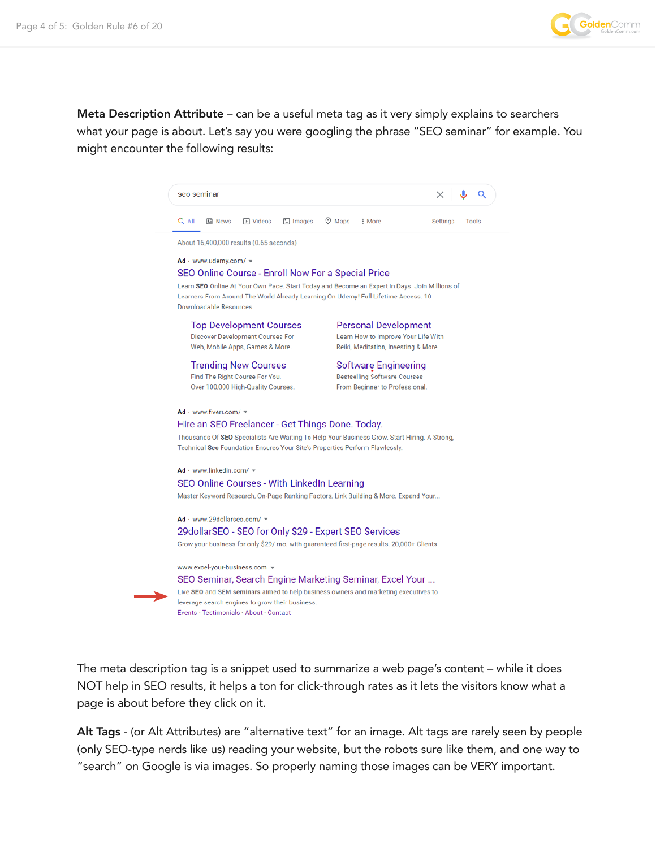

Meta Description Attribute – can be a useful meta tag as it very simply explains to searchers what your page is about. Let's say you were googling the phrase "SEO seminar" for example. You might encounter the following results:

|  | seo seminar                                                                                                                                                                                                                                                                                                                                                                                                                                                         |                  |               |                                                                                                                                                                                                            |        |                   |
|--|---------------------------------------------------------------------------------------------------------------------------------------------------------------------------------------------------------------------------------------------------------------------------------------------------------------------------------------------------------------------------------------------------------------------------------------------------------------------|------------------|---------------|------------------------------------------------------------------------------------------------------------------------------------------------------------------------------------------------------------|--------|-------------------|
|  | Q All<br><b>国 News</b>                                                                                                                                                                                                                                                                                                                                                                                                                                              | <b>Fi</b> Videos | $\Box$ Images | $\heartsuit$ Maps                                                                                                                                                                                          | : More | Tools<br>Settings |
|  | About 16,400,000 results (0.65 seconds)<br>$Ad$ · www.udemy.com/ $\sim$<br>SEO Online Course - Enroll Now For a Special Price<br>Learn SEO Online At Your Own Pace. Start Today and Become an Expert in Days. Join Millions of<br>Learners From Around The World Already Learning On Udemy! Full Lifetime Access. 10<br>Downloadable Resources.                                                                                                                     |                  |               |                                                                                                                                                                                                            |        |                   |
|  |                                                                                                                                                                                                                                                                                                                                                                                                                                                                     |                  |               |                                                                                                                                                                                                            |        |                   |
|  | <b>Top Development Courses</b><br><b>Discover Development Courses For</b><br>Web, Mobile Apps, Games & More.<br><b>Trending New Courses</b><br>Find The Right Course For You.<br>Over 100,000 High-Quality Courses.                                                                                                                                                                                                                                                 |                  |               | <b>Personal Development</b><br>Learn How to Improve Your Life With<br>Reiki, Meditation, Investing & More<br>Software Engineering<br><b>Bestselling Software Courses</b><br>From Beginner to Professional. |        |                   |
|  |                                                                                                                                                                                                                                                                                                                                                                                                                                                                     |                  |               |                                                                                                                                                                                                            |        |                   |
|  | $Ad$ · www.fiverr.com/ $\sim$<br>Hire an SEO Freelancer - Get Things Done. Today.<br>Thousands Of SEO Specialists Are Waiting To Help Your Business Grow. Start Hiring. A Strong,<br>Technical Seo Foundation Ensures Your Site's Properties Perform Flawlessly.                                                                                                                                                                                                    |                  |               |                                                                                                                                                                                                            |        |                   |
|  | $Ad$ · www.linkedin.com/ $\star$<br>SEO Online Courses - With LinkedIn Learning<br>Master Keyword Research, On-Page Ranking Factors, Link Building & More. Expand Your                                                                                                                                                                                                                                                                                              |                  |               |                                                                                                                                                                                                            |        |                   |
|  | Ad · www.29dollarseo.com/ =<br>29dollarSEO - SEO for Only \$29 - Expert SEO Services<br>Grow your business for only \$29/ mo. with guaranteed first-page results. 20,000+ Clients<br>www.excel-your-business.com v<br>SEO Seminar, Search Engine Marketing Seminar, Excel Your<br>Live SEO and SEM seminars aimed to help business owners and marketing executives to<br>leverage search engines to grow their business.<br>Events · Testimonials · About · Contact |                  |               |                                                                                                                                                                                                            |        |                   |
|  |                                                                                                                                                                                                                                                                                                                                                                                                                                                                     |                  |               |                                                                                                                                                                                                            |        |                   |

The meta description tag is a snippet used to summarize a web page's content – while it does NOT help in SEO results, it helps a ton for click-through rates as it lets the visitors know what a page is about before they click on it.

Alt Tags - (or Alt Attributes) are "alternative text" for an image. Alt tags are rarely seen by people (only SEO-type nerds like us) reading your website, but the robots sure like them, and one way to "search" on Google is via images. So properly naming those images can be VERY important.